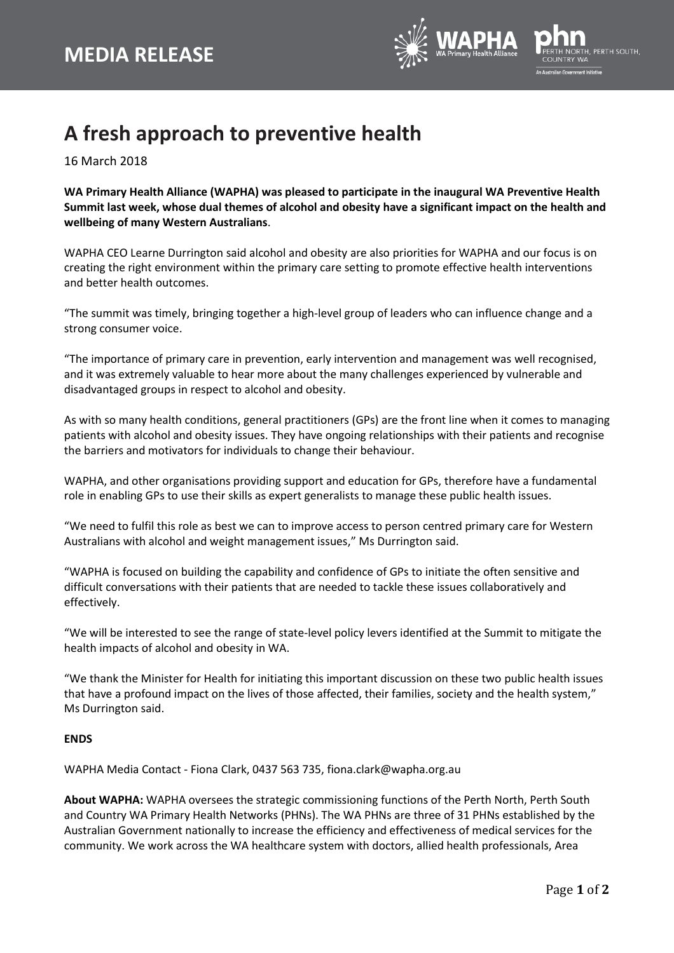

## **A fresh approach to preventive health**

16 March 2018

**WA Primary Health Alliance (WAPHA) was pleased to participate in the inaugural WA Preventive Health Summit last week, whose dual themes of alcohol and obesity have a significant impact on the health and wellbeing of many Western Australians**.

WAPHA CEO Learne Durrington said alcohol and obesity are also priorities for WAPHA and our focus is on creating the right environment within the primary care setting to promote effective health interventions and better health outcomes.

"The summit was timely, bringing together a high-level group of leaders who can influence change and a strong consumer voice.

"The importance of primary care in prevention, early intervention and management was well recognised, and it was extremely valuable to hear more about the many challenges experienced by vulnerable and disadvantaged groups in respect to alcohol and obesity.

As with so many health conditions, general practitioners (GPs) are the front line when it comes to managing patients with alcohol and obesity issues. They have ongoing relationships with their patients and recognise the barriers and motivators for individuals to change their behaviour.

WAPHA, and other organisations providing support and education for GPs, therefore have a fundamental role in enabling GPs to use their skills as expert generalists to manage these public health issues.

"We need to fulfil this role as best we can to improve access to person centred primary care for Western Australians with alcohol and weight management issues," Ms Durrington said.

"WAPHA is focused on building the capability and confidence of GPs to initiate the often sensitive and difficult conversations with their patients that are needed to tackle these issues collaboratively and effectively.

"We will be interested to see the range of state-level policy levers identified at the Summit to mitigate the health impacts of alcohol and obesity in WA.

"We thank the Minister for Health for initiating this important discussion on these two public health issues that have a profound impact on the lives of those affected, their families, society and the health system," Ms Durrington said.

## **ENDS**

WAPHA Media Contact - Fiona Clark, 0437 563 735, fiona.clark@wapha.org.au

**About WAPHA:** WAPHA oversees the strategic commissioning functions of the Perth North, Perth South and Country WA Primary Health Networks (PHNs). The WA PHNs are three of 31 PHNs established by the Australian Government nationally to increase the efficiency and effectiveness of medical services for the community. We work across the WA healthcare system with doctors, allied health professionals, Area